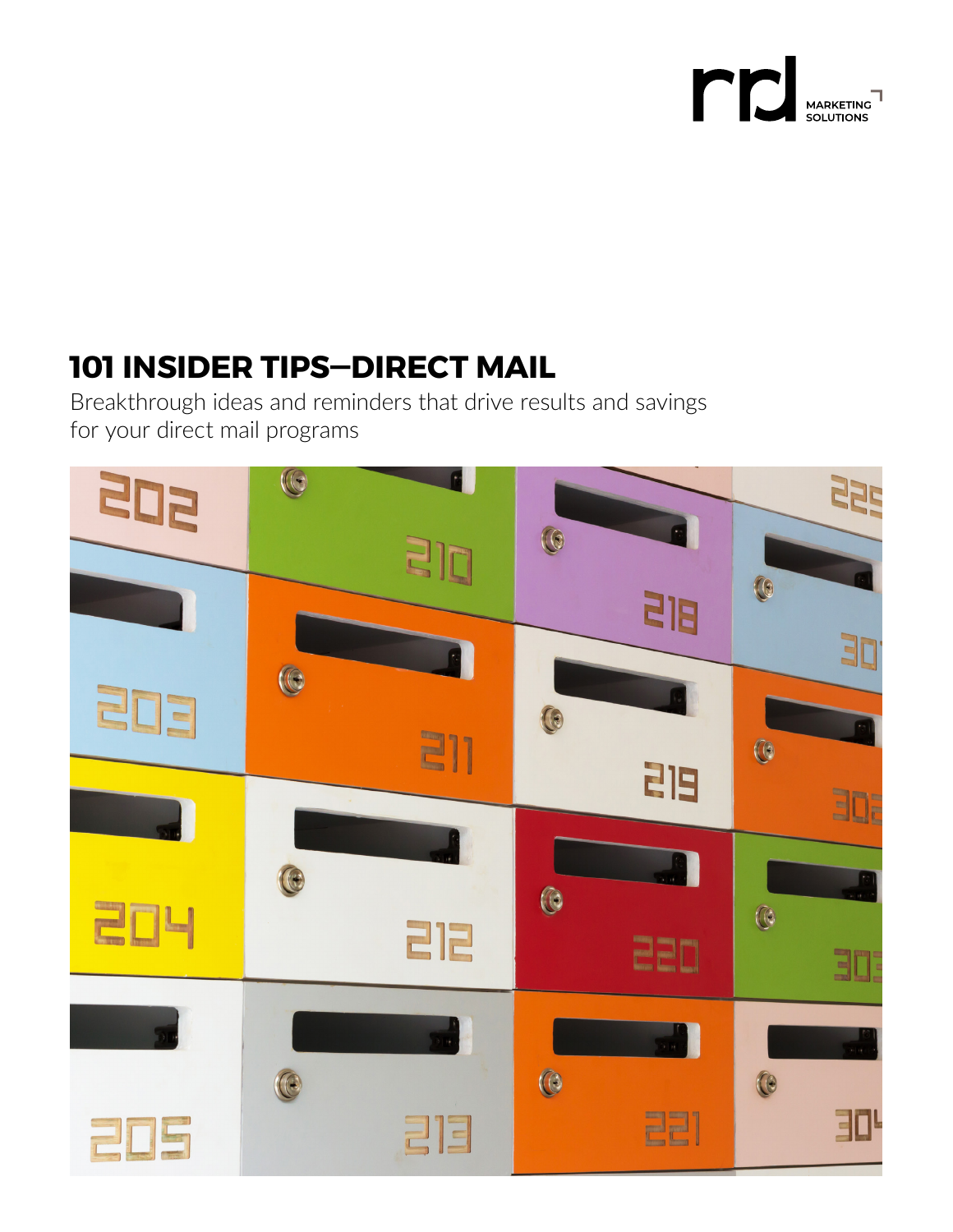

# **101 INSIDER TIPS—DIRECT MAIL**

Breakthrough ideas and reminders that drive results and savings for your direct mail programs

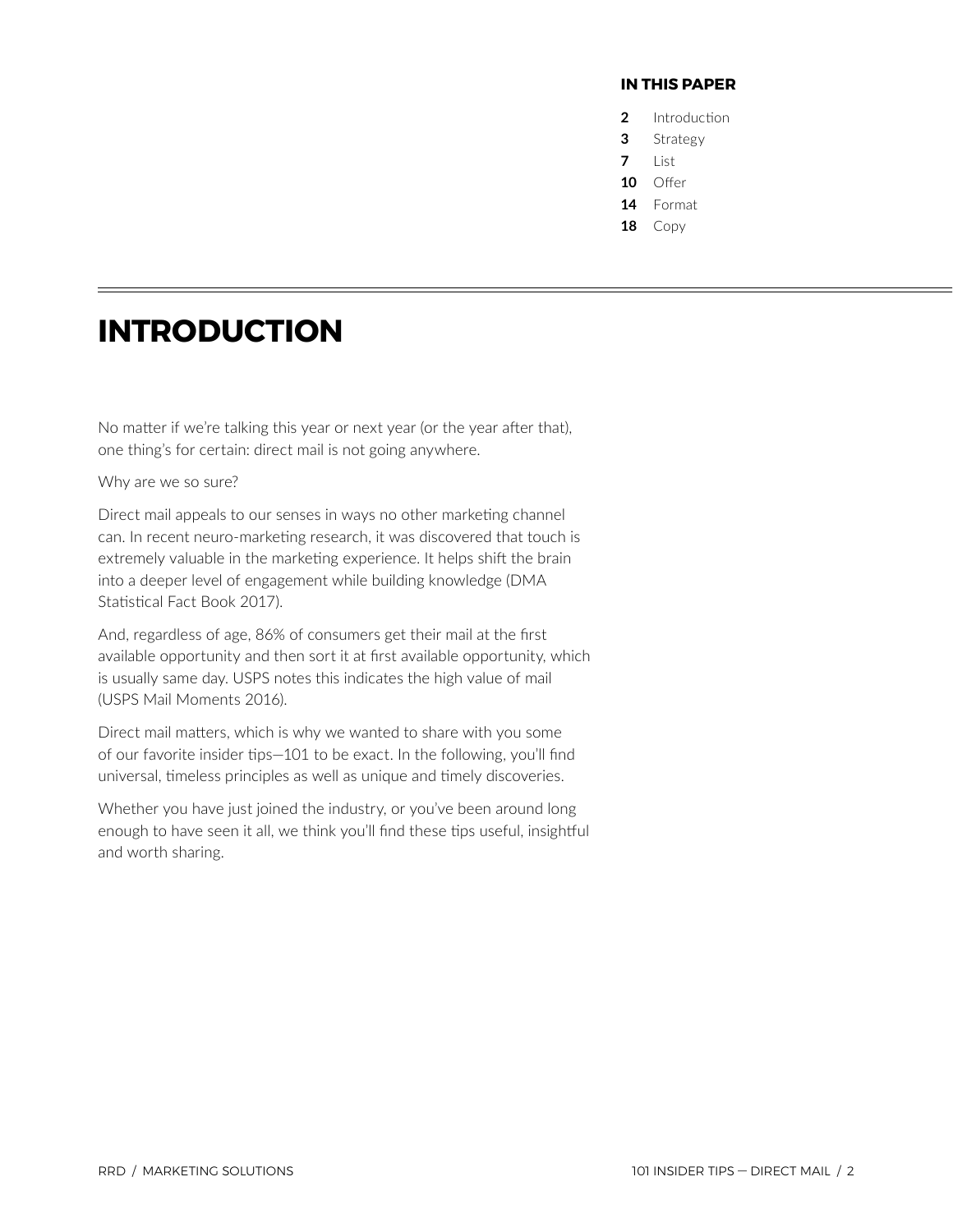### **IN THIS PAPER**

- **2** Introduction
- **3** [Strategy](#page-2-0)
- **7** [List](#page-6-0)
- **10** [Offer](#page-9-0)
- **14** [Format](#page-13-0)
- **18** [Copy](#page-17-0)

## **INTRODUCTION**

No matter if we're talking this year or next year (or the year after that), one thing's for certain: direct mail is not going anywhere.

Why are we so sure?

Direct mail appeals to our senses in ways no other marketing channel can. In recent neuro-marketing research, it was discovered that touch is extremely valuable in the marketing experience. It helps shift the brain into a deeper level of engagement while building knowledge (DMA Statistical Fact Book 2017).

And, regardless of age, 86% of consumers get their mail at the first available opportunity and then sort it at first available opportunity, which is usually same day. USPS notes this indicates the high value of mail (USPS Mail Moments 2016).

Direct mail matters, which is why we wanted to share with you some of our favorite insider tips—101 to be exact. In the following, you'll find universal, timeless principles as well as unique and timely discoveries.

Whether you have just joined the industry, or you've been around long enough to have seen it all, we think you'll find these tips useful, insightful and worth sharing.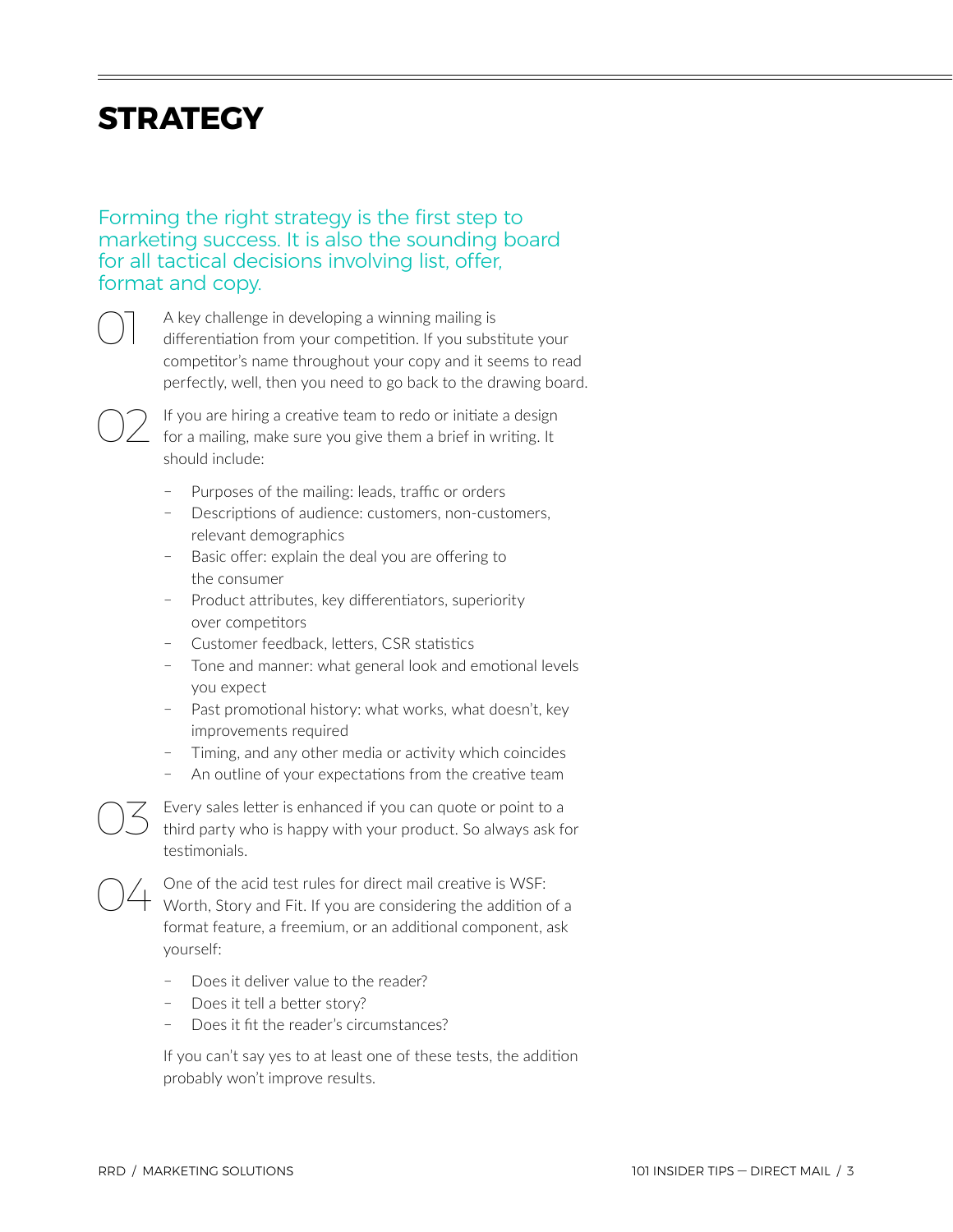## <span id="page-2-0"></span>**STRATEGY**

Forming the right strategy is the first step to marketing success. It is also the sounding board for all tactical decisions involving list, offer, format and copy.

> A key challenge in developing a winning mailing is differentiation from your competition. If you substitute your competitor's name throughout your copy and it seems to read perfectly, well, then you need to go back to the drawing board.

02 If you are hiring a creative team to redo or initiate a design for a mailing, make sure you give them a brief in writing. It should include:

- Purposes of the mailing: leads, traffic or orders
- Descriptions of audience: customers, non-customers, relevant demographics
- Basic offer: explain the deal you are offering to the consumer
- Product attributes, key differentiators, superiority over competitors
- Customer feedback, letters, CSR statistics
- ҄ Tone and manner: what general look and emotional levels you expect
- Past promotional history: what works, what doesn't, key improvements required
- ҄ Timing, and any other media or activity which coincides
- ҄ An outline of your expectations from the creative team

 $\overline{\bigcirc}$  Every sales letter is enhanced if you can quote or point to a third party who is happy with your product. So always ask for testimonials.

O4 One of the acid test rules for direct mail creative is WSF:<br>Worth, Story and Fit. If you are considering the addition of a format feature, a freemium, or an additional component, ask yourself:

- Does it deliver value to the reader?
- Does it tell a better story?
- Does it fit the reader's circumstances?

If you can't say yes to at least one of these tests, the addition probably won't improve results.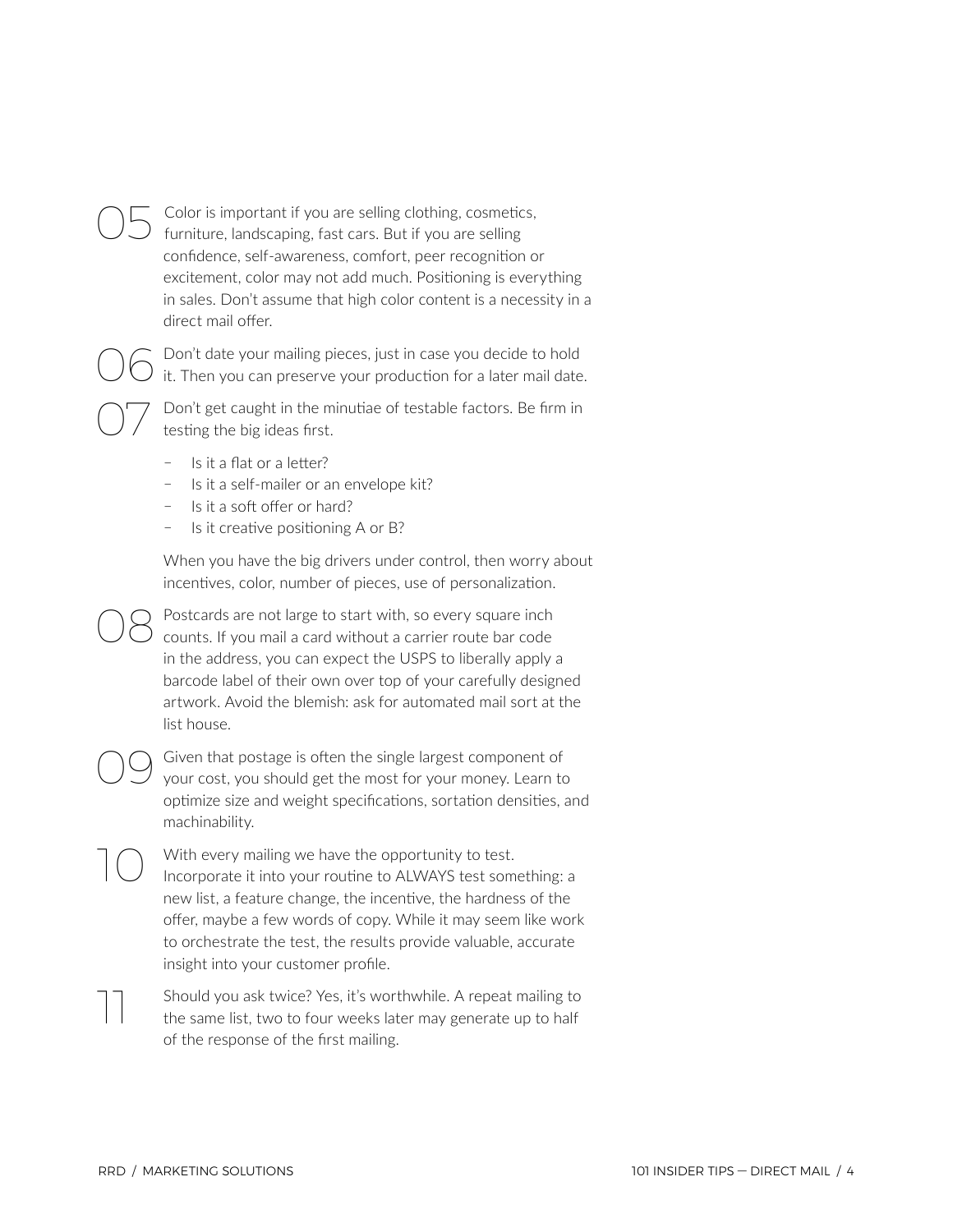Color is important if you are selling clothing, cosmetics, furniture, landscaping, fast cars. But if you are selling confidence, self-awareness, comfort, peer recognition or excitement, color may not add much. Positioning is everything in sales. Don't assume that high color content is a necessity in a direct mail offer.

O 6 Don't date your mailing pieces, just in case you decide to hold<br>it. Then you can preserve your production for a later mail date.

Don't get caught in the minutiae of testable factors. Be firm in testing the big ideas first.

- Is it a flat or a letter?
- Is it a self-mailer or an envelope kit?
- Is it a soft offer or hard?
- Is it creative positioning A or B?

When you have the big drivers under control, then worry about incentives, color, number of pieces, use of personalization.

Postcards are not large to start with, so every square inch counts. If you mail a card without a carrier route bar code in the address, you can expect the USPS to liberally apply a barcode label of their own over top of your carefully designed artwork. Avoid the blemish: ask for automated mail sort at the list house.

OO Given that postage is often the single largest component of your cost, you should get the most for your money. Learn to optimize size and weight specifications, sortation densities, and machinability.

With every mailing we have the opportunity to test. Incorporate it into your routine to ALWAYS test something: a new list, a feature change, the incentive, the hardness of the offer, maybe a few words of copy. While it may seem like work to orchestrate the test, the results provide valuable, accurate insight into your customer profile.

11 Should you ask twice? Yes, it's worthwhile. A repeat mailing to the same list, two to four weeks later may generate up to half of the response of the first mailing.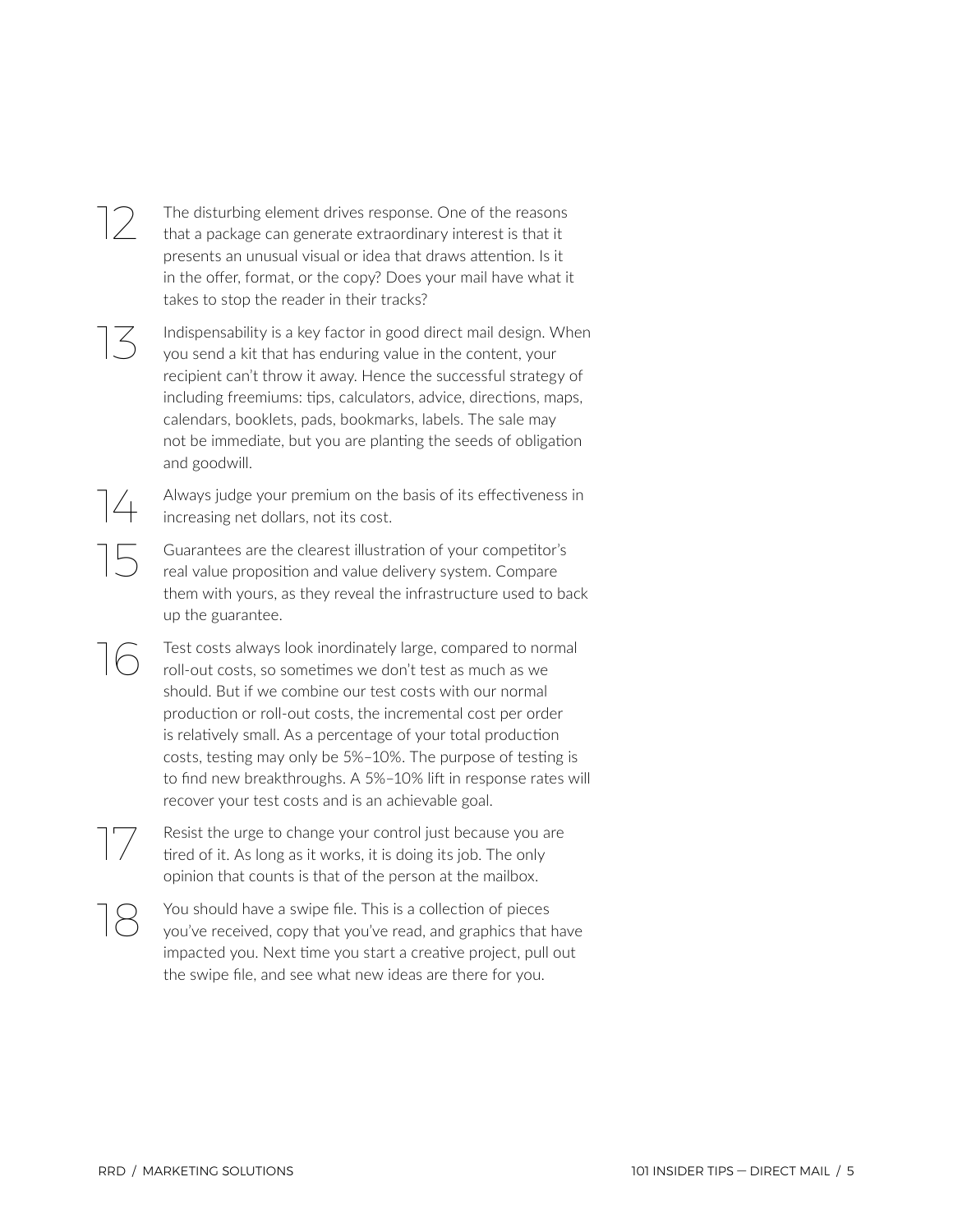### $\sim$  The disturbing element drives response. One of the reasons<br>that a package can generate extraordinary interest is that it that a package can generate extraordinary interest is that it presents an unusual visual or idea that draws attention. Is it in the offer, format, or the copy? Does your mail have what it takes to stop the reader in their tracks?

 $\sum_{\text{vol}}$  Indispensability is a key factor in good direct mail design. When you send a kit that has enduring value in the content, your recipient can't throw it away. Hence the successful strategy of including freemiums: tips, calculators, advice, directions, maps, calendars, booklets, pads, bookmarks, labels. The sale may not be immediate, but you are planting the seeds of obligation and goodwill.

> Always judge your premium on the basis of its effectiveness in increasing net dollars, not its cost.

15 Guarantees are the clearest illustration of your competitor's real value proposition and value delivery system. Compare them with yours, as they reveal the infrastructure used to back up the guarantee.

Test costs always look inordinately large, compared to normal roll-out costs, so sometimes we don't test as much as we should. But if we combine our test costs with our normal production or roll-out costs, the incremental cost per order is relatively small. As a percentage of your total production costs, testing may only be 5%–10%. The purpose of testing is to find new breakthroughs. A 5%–10% lift in response rates will recover your test costs and is an achievable goal.

17 Resist the urge to change your control just because you are tired of it. As long as it works, it is doing its job. The only opinion that counts is that of the person at the mailbox.

You should have a swipe file. This is a collection of pieces<br>you've received, copy that you've read, and graphics that have impacted you. Next time you start a creative project, pull out the swipe file, and see what new ideas are there for you.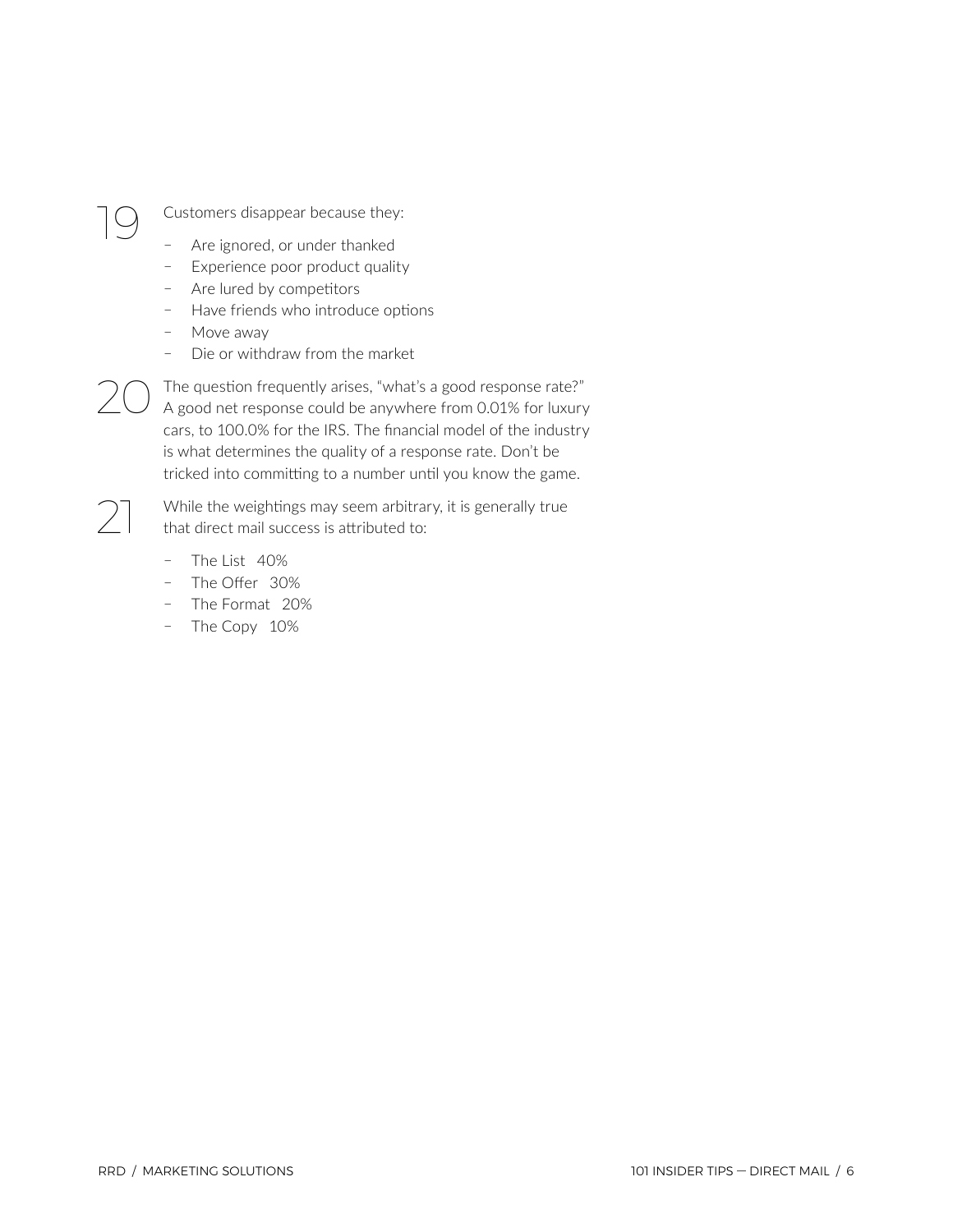$\bigcirc$  Customers disappear because they:

- ҄ Are ignored, or under thanked
- Experience poor product quality
- Are lured by competitors
- Have friends who introduce options
- Move away
- Die or withdraw from the market

 $20$  The question frequently arises, "what's a good response rate?"<br>A good net response could be anywhere from 0.01% for luxury cars, to 100.0% for the IRS. The financial model of the industry is what determines the quality of a response rate. Don't be tricked into committing to a number until you know the game.

> While the weightings may seem arbitrary, it is generally true that direct mail success is attributed to:

- $-$  The List 40%
- The Offer 30%
- ҄ The Format 20%
- The Copy 10%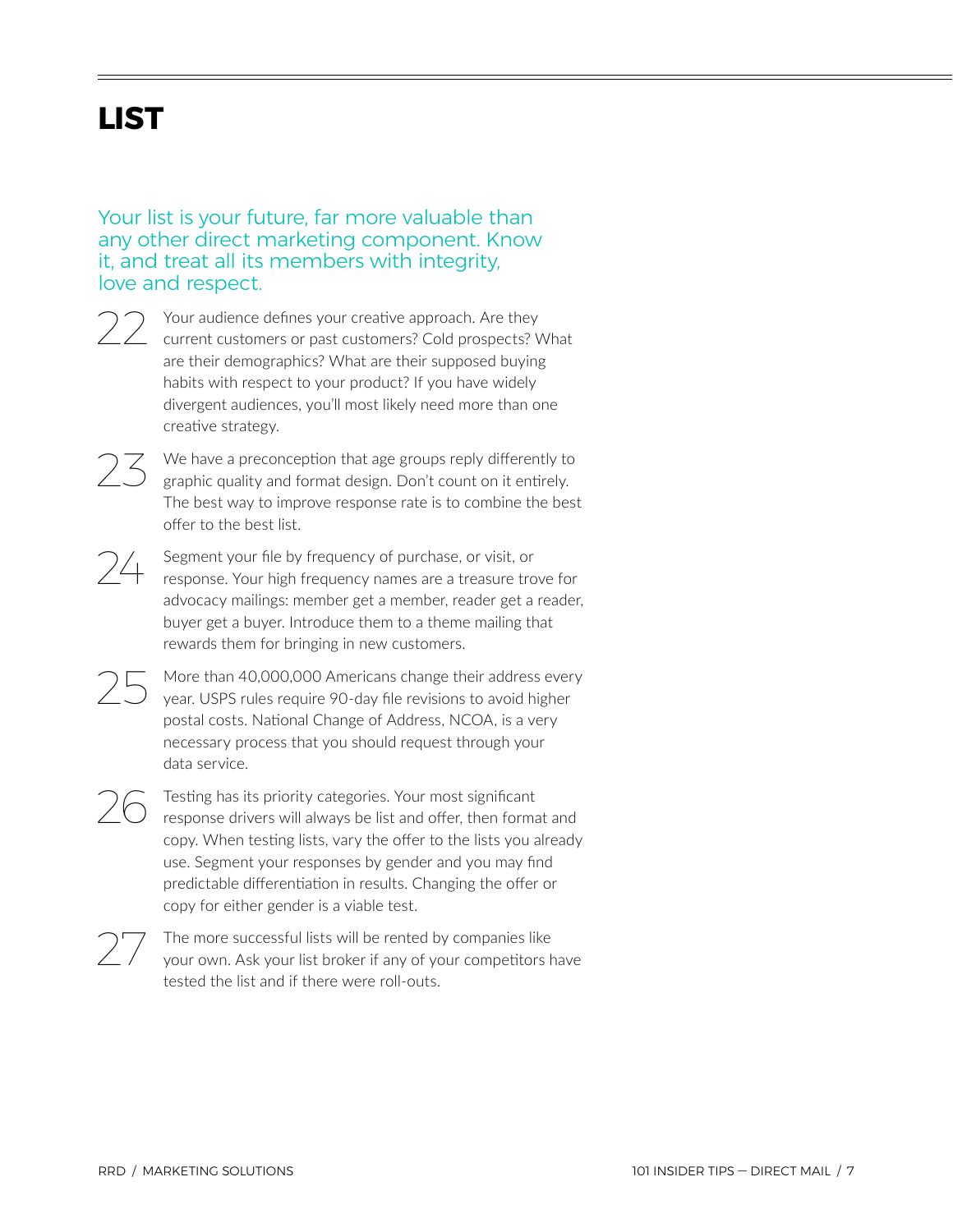# <span id="page-6-0"></span>**LIST**

Your list is your future, far more valuable than any other direct marketing component. Know it, and treat all its members with integrity, love and respect.

- Your audience defines your creative approach. Are they current customers or past customers? Cold prospects? What are their demographics? What are their supposed buying habits with respect to your product? If you have widely divergent audiences, you'll most likely need more than one creative strategy.
- We have a preconception that age groups reply differently to graphic quality and format design. Don't count on it entirely. The best way to improve response rate is to combine the best offer to the best list.
- Segment your file by frequency of purchase, or visit, or response. Your high frequency names are a treasure trove for advocacy mailings: member get a member, reader get a reader, buyer get a buyer. Introduce them to a theme mailing that rewards them for bringing in new customers.
	- More than 40,000,000 Americans change their address every year. USPS rules require 90-day file revisions to avoid higher postal costs. National Change of Address, NCOA, is a very necessary process that you should request through your data service.
- $26$  Testing has its priority categories. Your most significant response drivers will always be list and offer, then format and copy. When testing lists, vary the offer to the lists you already use. Segment your responses by gender and you may find predictable differentiation in results. Changing the offer or copy for either gender is a viable test.
- 27 The more successful lists will be rented by companies like your own. Ask your list broker if any of your competitors have tested the list and if there were roll-outs.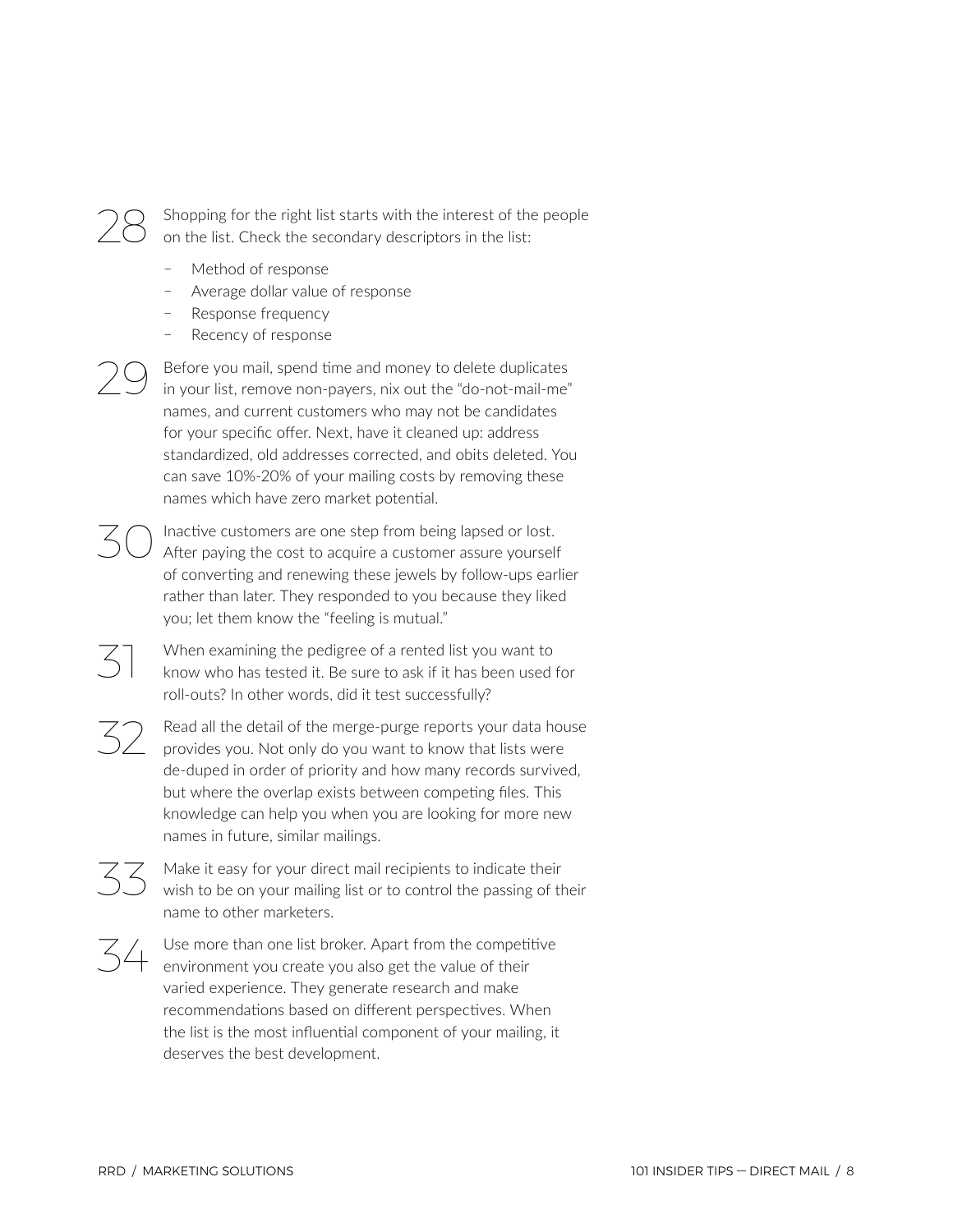

Shopping for the right list starts with the interest of the people on the list. Check the secondary descriptors in the list:

- ҄ Method of response
- Average dollar value of response
- Response frequency
- Recency of response

Before you mail, spend time and money to delete duplicates in your list, remove non-payers, nix out the "do-not-mail-me" names, and current customers who may not be candidates for your specific offer. Next, have it cleaned up: address standardized, old addresses corrected, and obits deleted. You can save 10%-20% of your mailing costs by removing these names which have zero market potential.

Inactive customers are one step from being lapsed or lost. After paying the cost to acquire a customer assure yourself of converting and renewing these jewels by follow-ups earlier rather than later. They responded to you because they liked you; let them know the "feeling is mutual."

When examining the pedigree of a rented list you want to know who has tested it. Be sure to ask if it has been used for roll-outs? In other words, did it test successfully?

Read all the detail of the merge-purge reports your data house provides you. Not only do you want to know that lists were de-duped in order of priority and how many records survived, but where the overlap exists between competing files. This knowledge can help you when you are looking for more new names in future, similar mailings.

 $\overline{33}$  Make it easy for your direct mail recipients to indicate their<br>wish to be on your mailing list or to control the passing of their name to other marketers.

 $\mathcal{Z}$  Use more than one list broker. Apart from the competitive environment you create you also get the value of their varied experience. They generate research and make recommendations based on different perspectives. When the list is the most influential component of your mailing, it deserves the best development.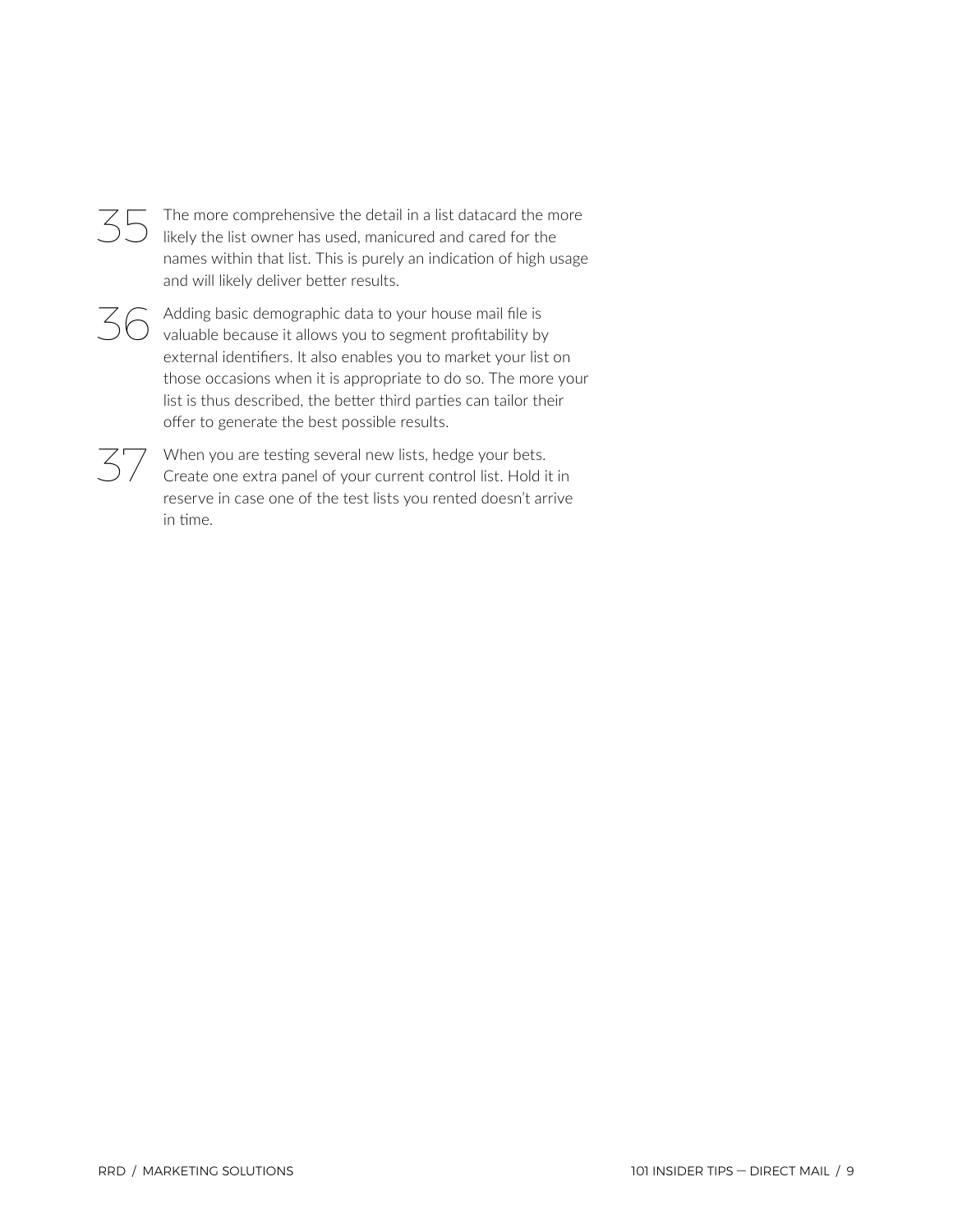

The more comprehensive the detail in a list datacard the more likely the list owner has used, manicured and cared for the names within that list. This is purely an indication of high usage and will likely deliver better results.

 $\overline{36}$  Adding basic demographic data to your house mail file is valuable because it allows you to segment profitability by external identifiers. It also enables you to market your list on those occasions when it is appropriate to do so. The more your list is thus described, the better third parties can tailor their offer to generate the best possible results.

 $\mathcal{Z}$  When you are testing several new lists, hedge your bets.<br>Create one extra panel of your current control list. Hold it in reserve in case one of the test lists you rented doesn't arrive in time.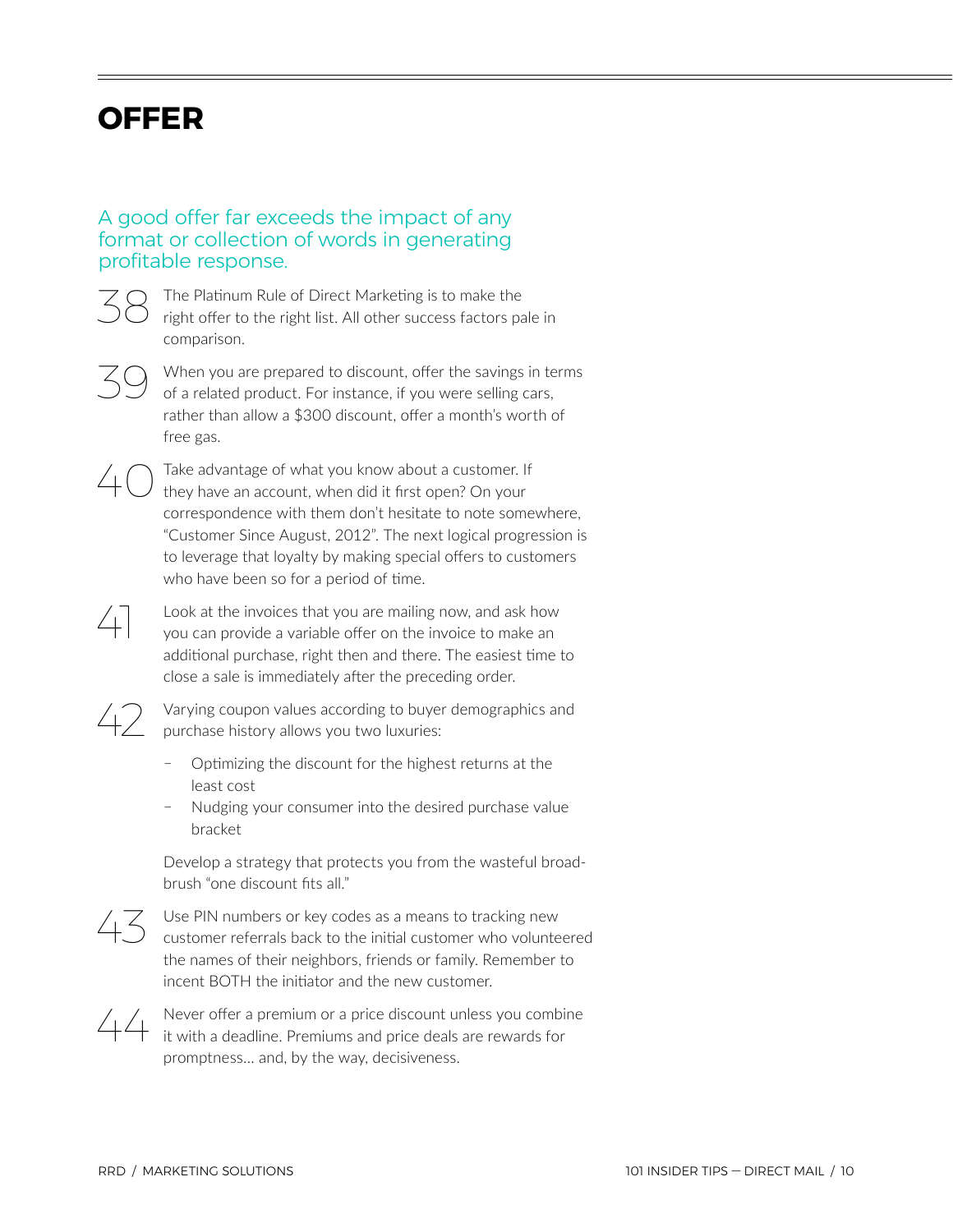## <span id="page-9-0"></span>**OFFER**

## A good offer far exceeds the impact of any format or collection of words in generating profitable response.



38 The Platinum Rule of Direct Marketing is to make the right offer to the right list. All other success factors pale in comparison.



When you are prepared to discount, offer the savings in terms of a related product. For instance, if you were selling cars, rather than allow a \$300 discount, offer a month's worth of free gas.



Take advantage of what you know about a customer. If they have an account, when did it first open? On your correspondence with them don't hesitate to note somewhere, "Customer Since August, 2012". The next logical progression is to leverage that loyalty by making special offers to customers who have been so for a period of time.

41 Look at the invoices that you are mailing now, and ask how you can provide a variable offer on the invoice to make an additional purchase, right then and there. The easiest time to close a sale is immediately after the preceding order.

 $42$  Varying coupon values according to buyer demographics and<br> $42$  purchase history allows you two luxuries: purchase history allows you two luxuries:

- ҄ Optimizing the discount for the highest returns at the least cost
- ҄ Nudging your consumer into the desired purchase value bracket

Develop a strategy that protects you from the wasteful broadbrush "one discount fits all."



 $43$  Use PIN numbers or key codes as a means to tracking new customer referrals back to the initial customer who volunteered the names of their neighbors, friends or family. Remember to incent BOTH the initiator and the new customer.



44 Never offer a premium or a price discount unless you combine it with a deadline. Premiums and price deals are rewards for promptness… and, by the way, decisiveness.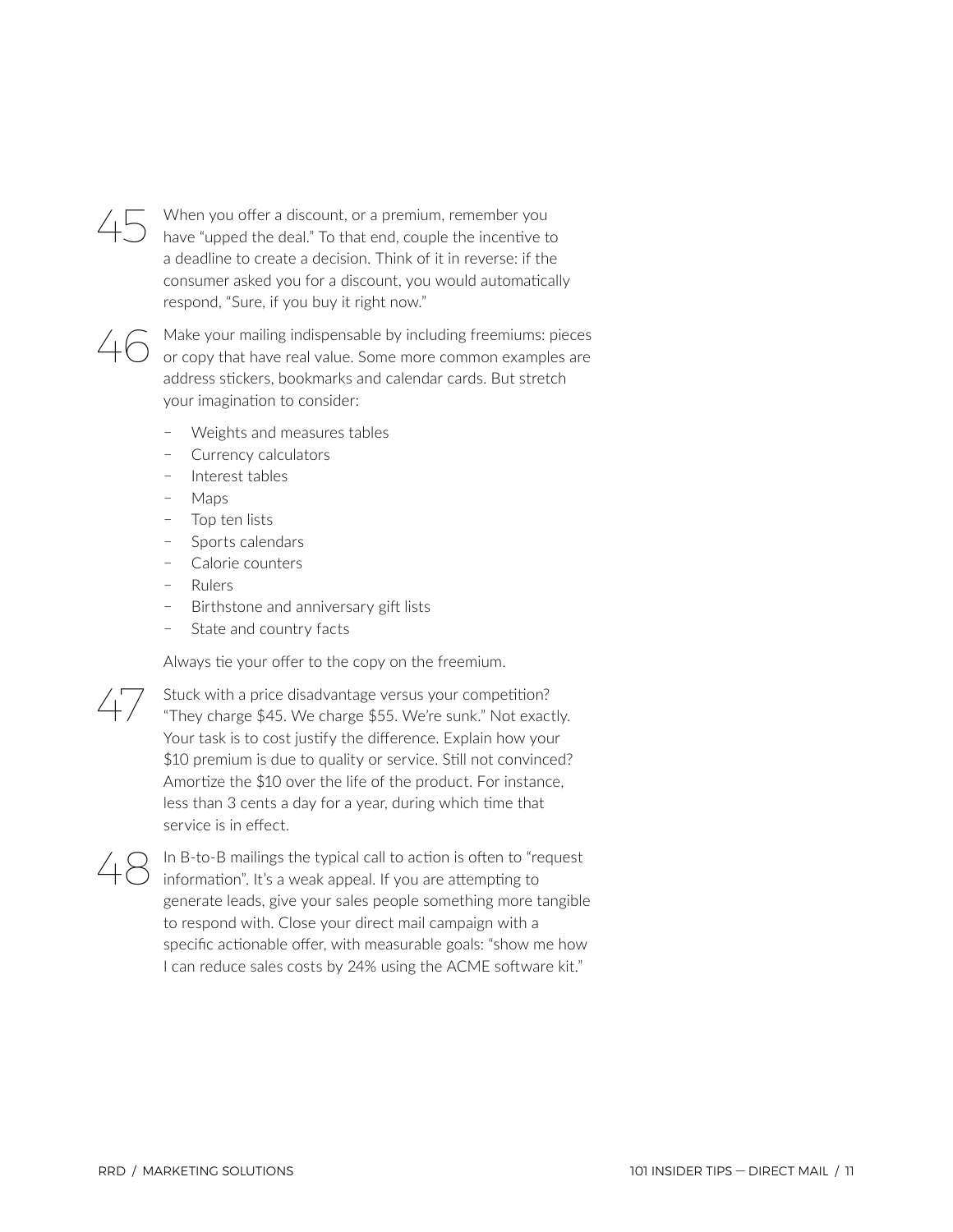

45 When you offer a discount, or a premium, remember you have "upped the deal." To that end, couple the incentive to a deadline to create a decision. Think of it in reverse: if the consumer asked you for a discount, you would automatically respond, "Sure, if you buy it right now."



 $46$  Make your mailing indispensable by including freemiums: pieces or copy that have real value. Some more common examples are address stickers, bookmarks and calendar cards. But stretch your imagination to consider:

- Weights and measures tables
- ҄ Currency calculators
- ҄ Interest tables
- Maps
- Top ten lists
- ҄ Sports calendars
- Calorie counters
- Rulers
- ҄ Birthstone and anniversary gift lists
- State and country facts

Always tie your offer to the copy on the freemium.

47 Stuck with a price disadvantage versus your competition? "They charge \$45. We charge \$55. We're sunk." Not exactly. Your task is to cost justify the difference. Explain how your \$10 premium is due to quality or service. Still not convinced? Amortize the \$10 over the life of the product. For instance, less than 3 cents a day for a year, during which time that service is in effect.

48 In B-to-B mailings the typical call to action is often to "request" information". It's a weak appeal. If you are attempting to generate leads, give your sales people something more tangible to respond with. Close your direct mail campaign with a specific actionable offer, with measurable goals: "show me how I can reduce sales costs by 24% using the ACME software kit."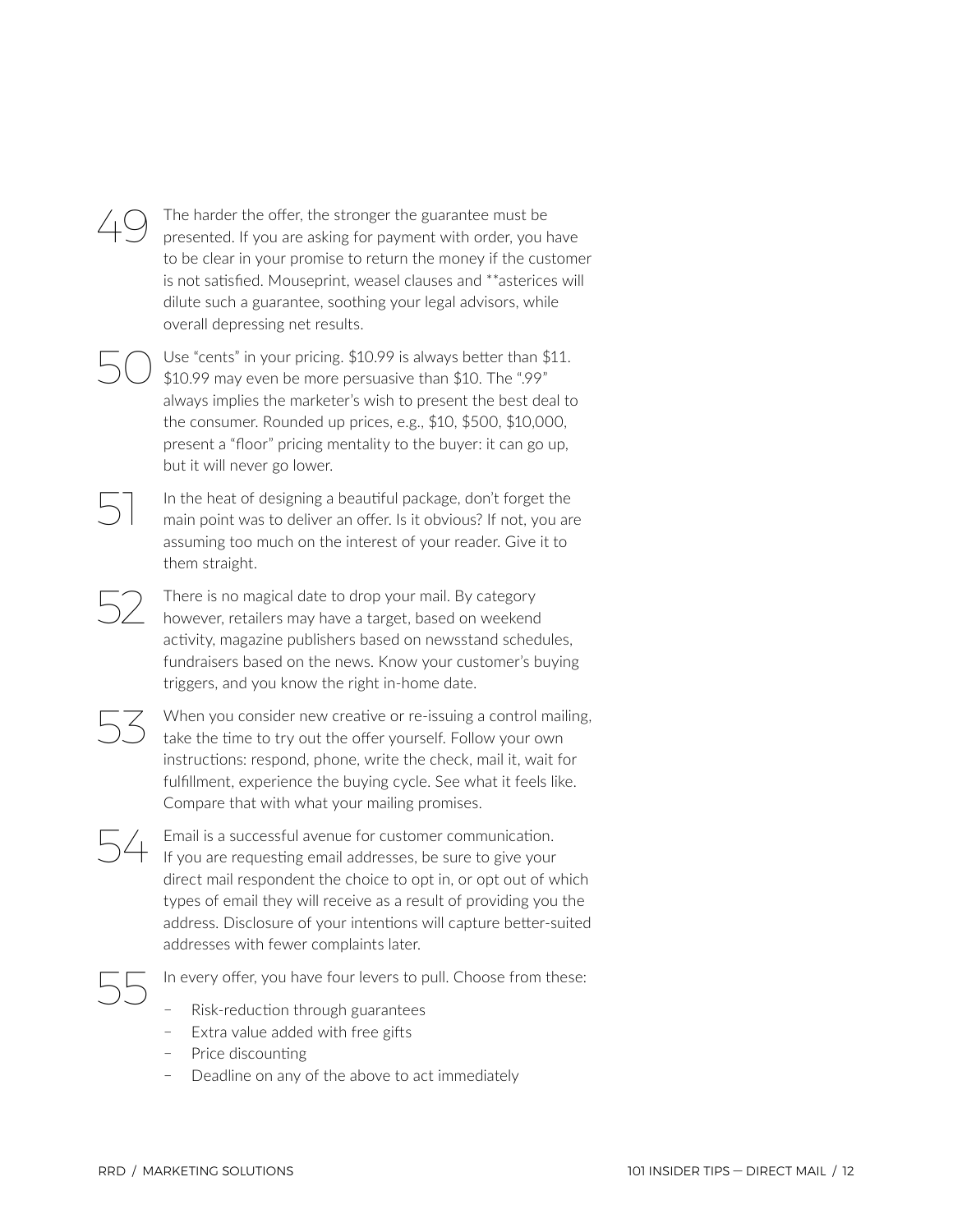### $49$  The harder the offer, the stronger the guarantee must be presented. If you are asking for payment with order, you have to be clear in your promise to return the money if the customer is not satisfied. Mouseprint, weasel clauses and \*\*asterices will dilute such a guarantee, soothing your legal advisors, while overall depressing net results.

Use "cents" in your pricing. \$10.99 is always better than \$11. \$10.99 may even be more persuasive than \$10. The ".99" always implies the marketer's wish to present the best deal to the consumer. Rounded up prices, e.g., \$10, \$500, \$10,000, present a "floor" pricing mentality to the buyer: it can go up, but it will never go lower.

In the heat of designing a beautiful package, don't forget the main point was to deliver an offer. Is it obvious? If not, you are assuming too much on the interest of your reader. Give it to them straight.

52 There is no magical date to drop your mail. By category however, retailers may have a target, based on weekend activity, magazine publishers based on newsstand schedules, fundraisers based on the news. Know your customer's buying triggers, and you know the right in-home date.



When you consider new creative or re-issuing a control mailing, take the time to try out the offer yourself. Follow your own instructions: respond, phone, write the check, mail it, wait for fulfillment, experience the buying cycle. See what it feels like. Compare that with what your mailing promises.

54 Email is a successful avenue for customer communication. If you are requesting email addresses, be sure to give your direct mail respondent the choice to opt in, or opt out of which types of email they will receive as a result of providing you the address. Disclosure of your intentions will capture better-suited addresses with fewer complaints later.

In every offer, you have four levers to pull. Choose from these:

- ҄ Risk-reduction through guarantees
- $-$  Extra value added with free gifts
- Price discounting
- Deadline on any of the above to act immediately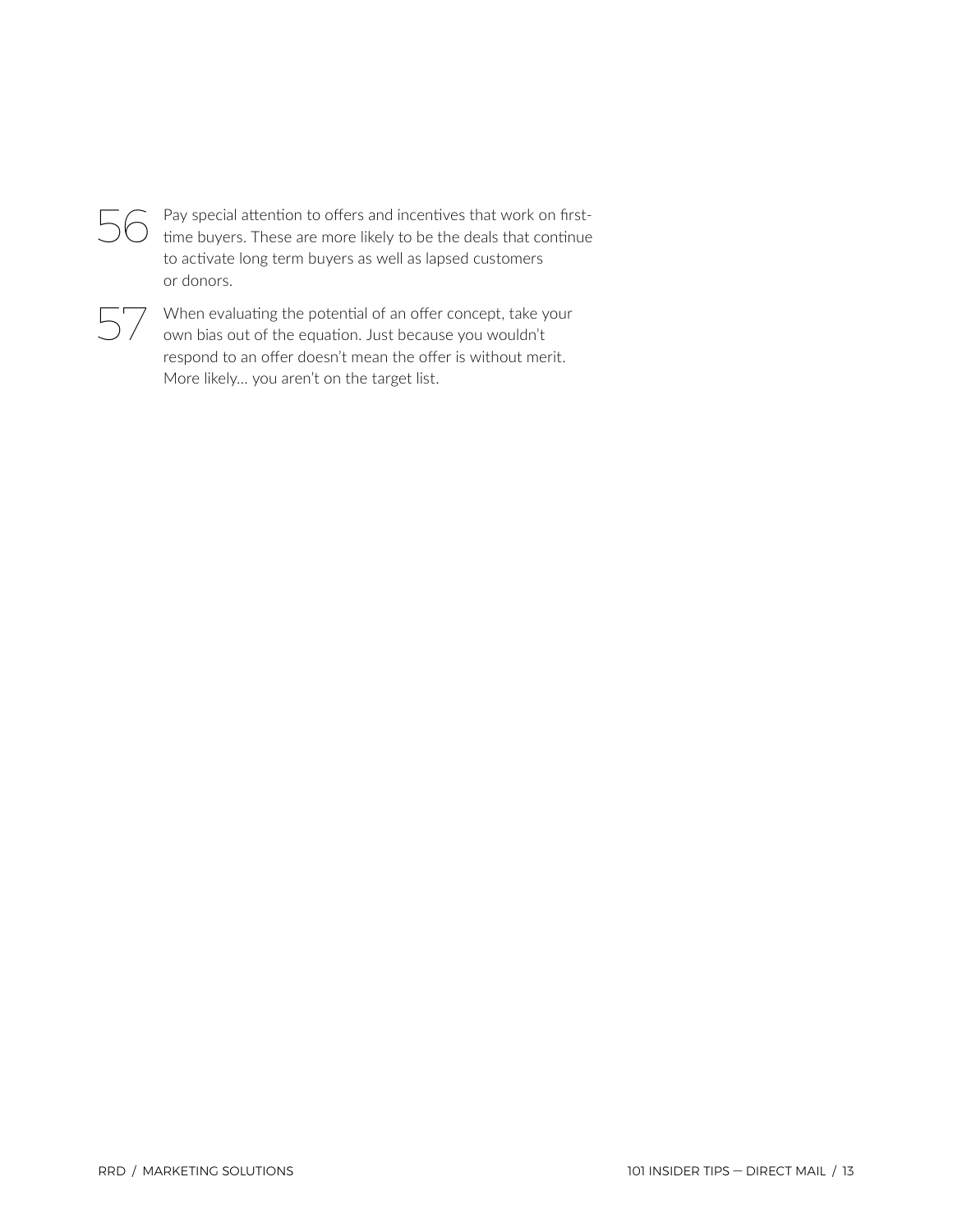

 $56$  Pay special attention to offers and incentives that work on firsttime buyers. These are more likely to be the deals that continue to activate long term buyers as well as lapsed customers or donors.



When evaluating the potential of an offer concept, take your own bias out of the equation. Just because you wouldn't respond to an offer doesn't mean the offer is without merit. More likely… you aren't on the target list.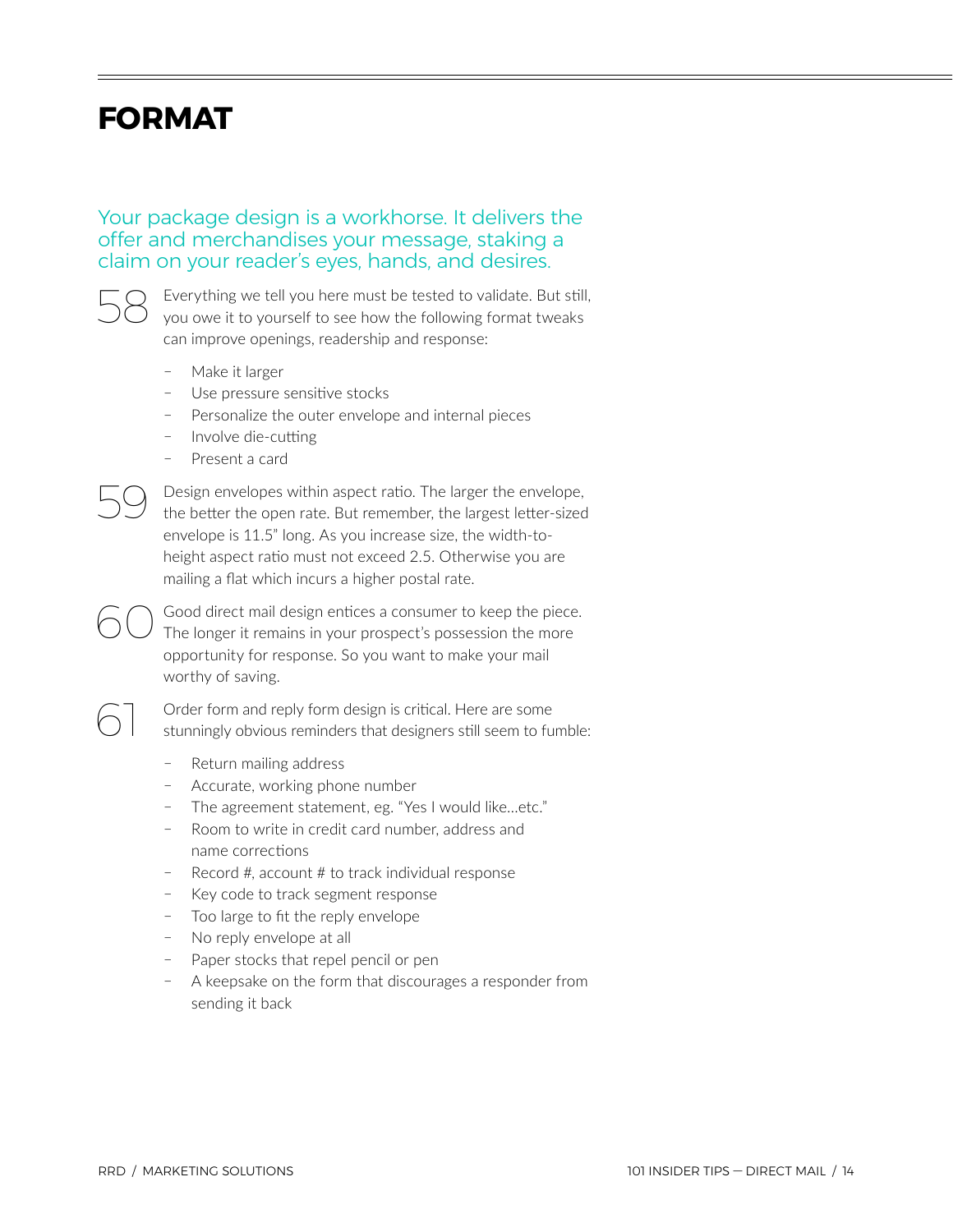## <span id="page-13-0"></span>**FORMAT**

Your package design is a workhorse. It delivers the offer and merchandises your message, staking a claim on your reader's eyes, hands, and desires.



Everything we tell you here must be tested to validate. But still, you owe it to yourself to see how the following format tweaks can improve openings, readership and response:

- Make it larger
- Use pressure sensitive stocks
- Personalize the outer envelope and internal pieces
- ҄ Involve die-cutting
- Present a card

59 Design envelopes within aspect ratio. The larger the envelope, the better the open rate. But remember, the largest letter-sized envelope is 11.5" long. As you increase size, the width-toheight aspect ratio must not exceed 2.5. Otherwise you are mailing a flat which incurs a higher postal rate.

GO Good direct mail design entices a consumer to keep the piece.<br>
The longer it remains in your prospect's possession the more opportunity for response. So you want to make your mail worthy of saving.

> Order form and reply form design is critical. Here are some stunningly obvious reminders that designers still seem to fumble:

- ҄ Return mailing address
- ҄ Accurate, working phone number
- The agreement statement, eg. "Yes I would like...etc."
- ҄ Room to write in credit card number, address and name corrections
- ҄ Record #, account # to track individual response
- ҄ Key code to track segment response
- Too large to fit the reply envelope
- No reply envelope at all
- Paper stocks that repel pencil or pen
- ҄ A keepsake on the form that discourages a responder from sending it back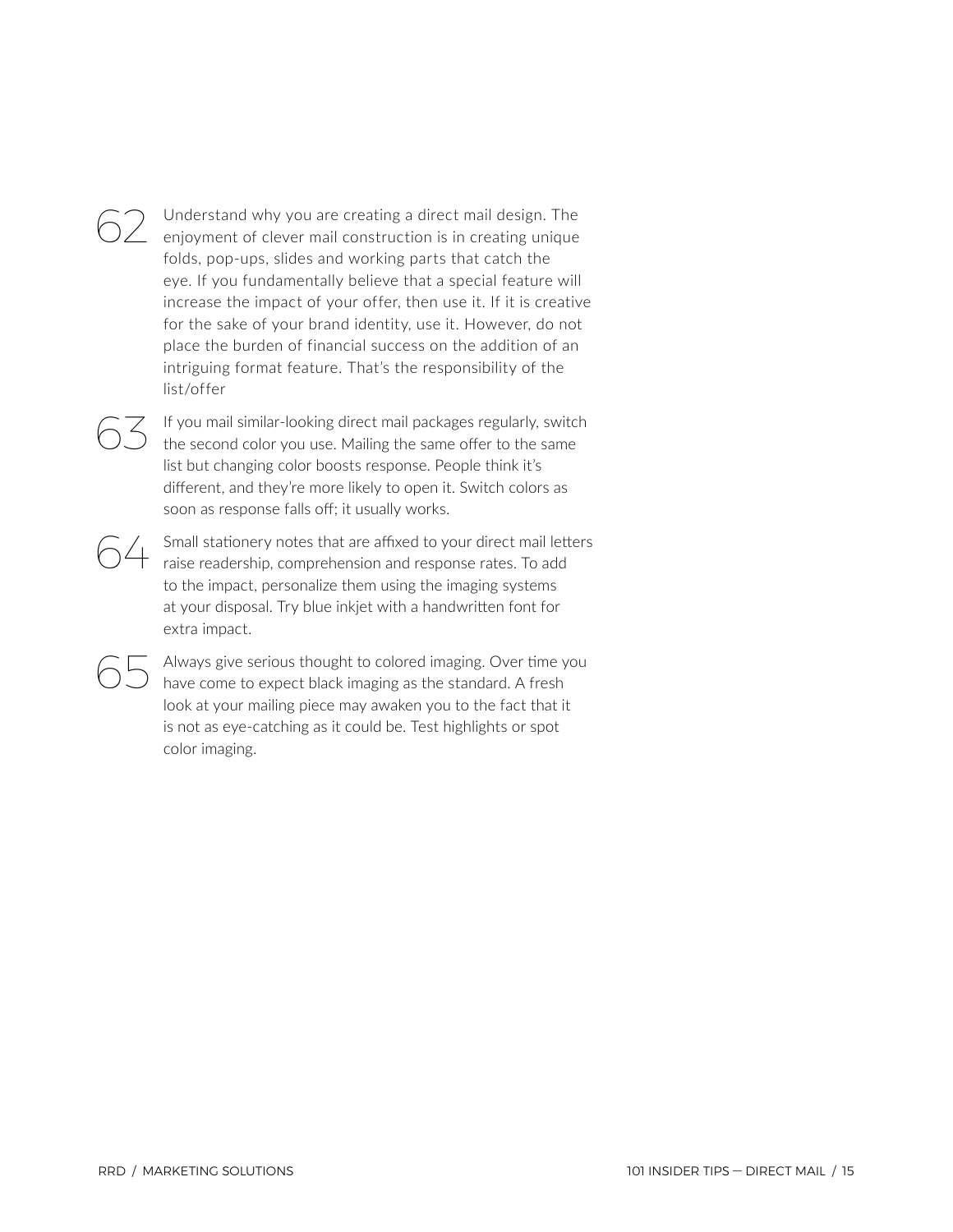62 Understand why you are creating a direct mail design. The enjoyment of clever mail construction is in creating unique folds, pop-ups, slides and working parts that catch the eye. If you fundamentally believe that a special feature will increase the impact of your offer, then use it. If it is creative for the sake of your brand identity, use it. However, do not place the burden of financial success on the addition of an intriguing format feature. That's the responsibility of the list/offer

 $63$  If you mail similar-looking direct mail packages regularly, switch the second color you use. Mailing the same offer to the same list but changing color boosts response. People think it's different, and they're more likely to open it. Switch colors as soon as response falls off; it usually works.

64 Small stationery notes that are affixed to your direct mail letters raise readership, comprehension and response rates. To add to the impact, personalize them using the imaging systems at your disposal. Try blue inkjet with a handwritten font for extra impact.

> Always give serious thought to colored imaging. Over time you have come to expect black imaging as the standard. A fresh look at your mailing piece may awaken you to the fact that it is not as eye-catching as it could be. Test highlights or spot color imaging.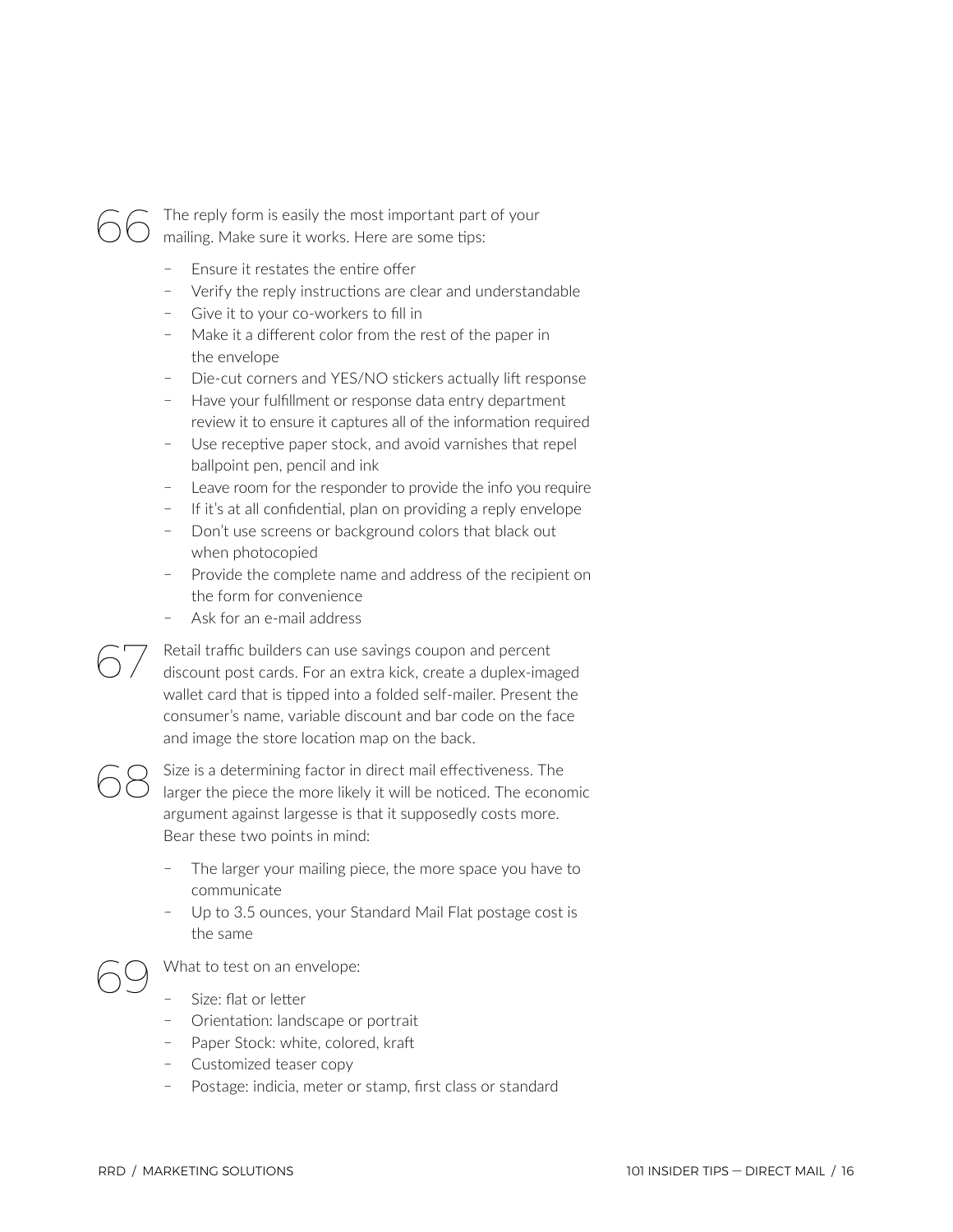

The reply form is easily the most important part of your mailing. Make sure it works. Here are some tips:

- ҄ Ensure it restates the entire offer
- Verify the reply instructions are clear and understandable
- Give it to your co-workers to fill in
- Make it a different color from the rest of the paper in the envelope
- Die-cut corners and YES/NO stickers actually lift response
- Have your fulfillment or response data entry department review it to ensure it captures all of the information required
- Use receptive paper stock, and avoid varnishes that repel ballpoint pen, pencil and ink
- Leave room for the responder to provide the info you require
- If it's at all confidential, plan on providing a reply envelope
- Don't use screens or background colors that black out when photocopied
- ҄ Provide the complete name and address of the recipient on the form for convenience
- ҄ Ask for an e-mail address

Retail traffic builders can use savings coupon and percent discount post cards. For an extra kick, create a duplex-imaged wallet card that is tipped into a folded self-mailer. Present the consumer's name, variable discount and bar code on the face and image the store location map on the back.

Size is a determining factor in direct mail effectiveness. The larger the piece the more likely it will be noticed. The economic argument against largesse is that it supposedly costs more. Bear these two points in mind:

- The larger your mailing piece, the more space you have to communicate
- Up to 3.5 ounces, your Standard Mail Flat postage cost is the same

Size: flat or letter

What to test on an envelope:

- Orientation: landscape or portrait
- Paper Stock: white, colored, kraft
- Customized teaser copy
- Postage: indicia, meter or stamp, first class or standard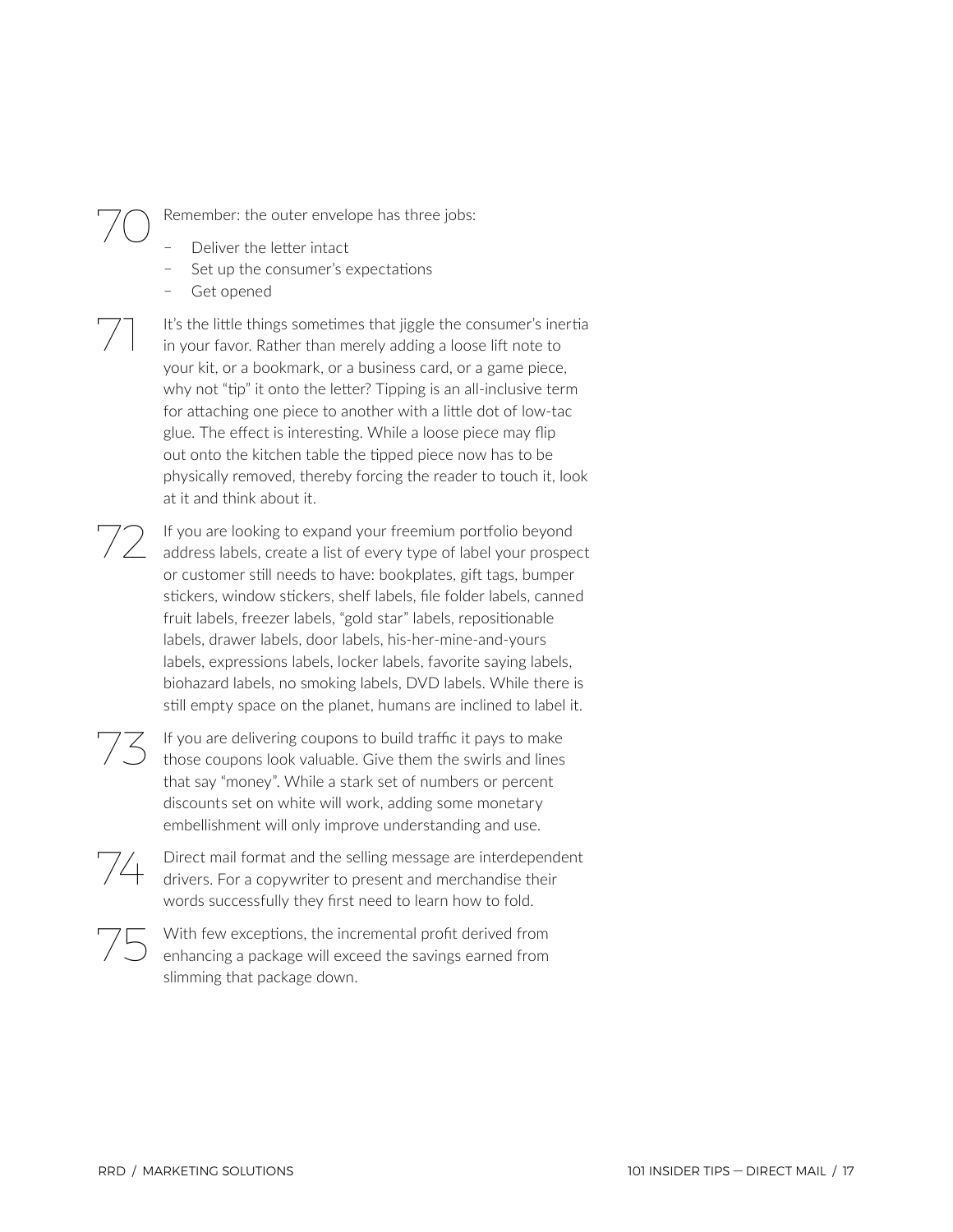Remember: the outer envelope has three jobs:

- Deliver the letter intact
- Set up the consumer's expectations
- Get opened

It's the little things sometimes that jiggle the consumer's inertia in your favor. Rather than merely adding a loose lift note to your kit, or a bookmark, or a business card, or a game piece, why not "tip" it onto the letter? Tipping is an all-inclusive term for attaching one piece to another with a little dot of low-tac glue. The effect is interesting. While a loose piece may flip out onto the kitchen table the tipped piece now has to be physically removed, thereby forcing the reader to touch it, look at it and think about it.

72 If you are looking to expand your freemium portfolio beyond address labels, create a list of every type of label your prospect or customer still needs to have: bookplates, gift tags, bumper stickers, window stickers, shelf labels, file folder labels, canned fruit labels, freezer labels, "gold star" labels, repositionable labels, drawer labels, door labels, his-her-mine-and-yours labels, expressions labels, locker labels, favorite saying labels, biohazard labels, no smoking labels, DVD labels. While there is still empty space on the planet, humans are inclined to label it.

 $73$  If you are delivering coupons to build traffic it pays to make those coupons look valuable. Give them the swirls and lines that say "money". While a stark set of numbers or percent discounts set on white will work, adding some monetary embellishment will only improve understanding and use.

Direct mail format and the selling message are interdependent drivers. For a copywriter to present and merchandise their words successfully they first need to learn how to fold.



75 With few exceptions, the incremental profit derived from enhancing a package will exceed the savings earned from slimming that package down.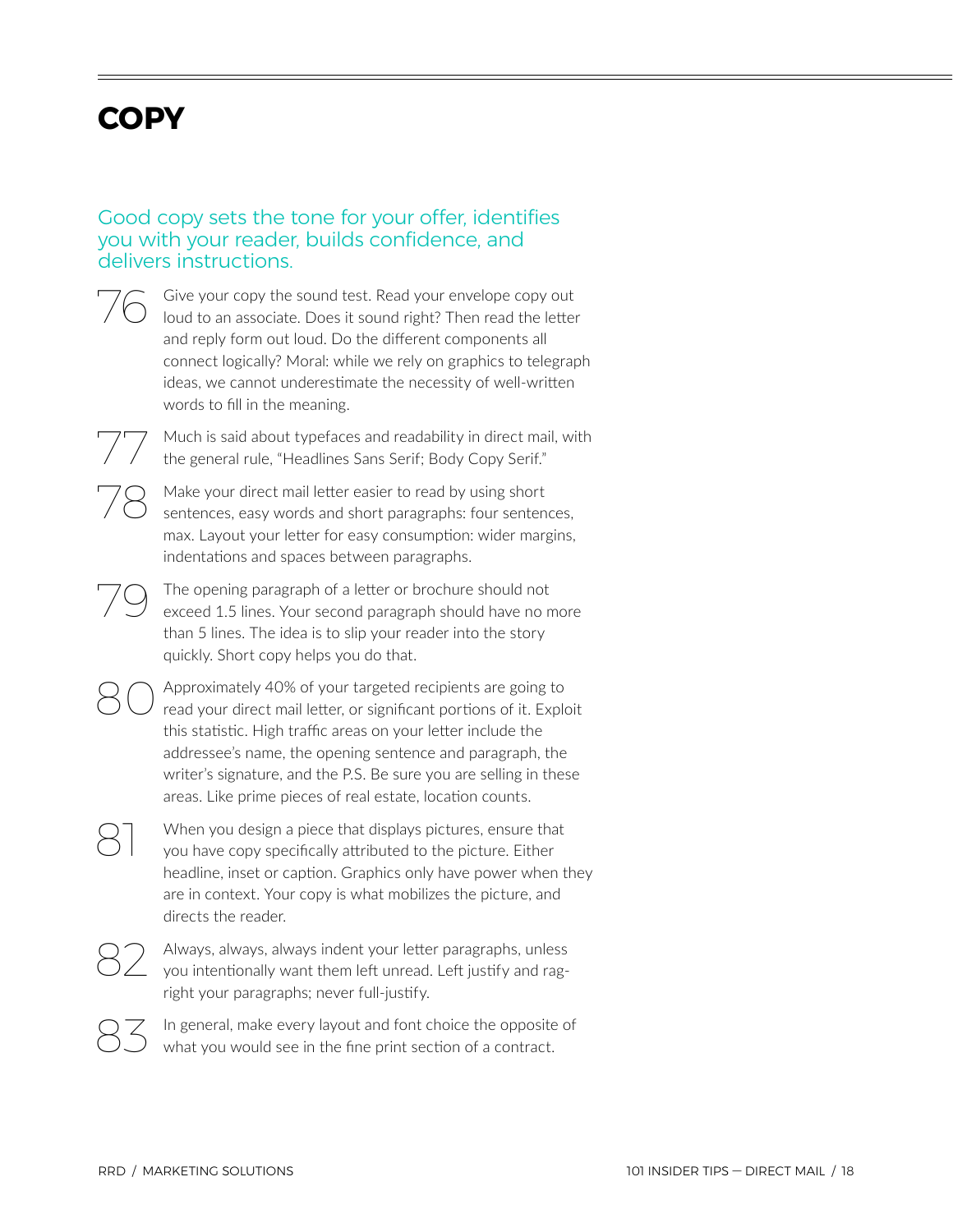## <span id="page-17-0"></span>**COPY**

## Good copy sets the tone for your offer, identifies you with your reader, builds confidence, and delivers instructions.

76 Give your copy the sound test. Read your envelope copy out loud to an associate. Does it sound right? Then read the letter and reply form out loud. Do the different components all connect logically? Moral: while we rely on graphics to telegraph ideas, we cannot underestimate the necessity of well-written words to fill in the meaning.

Much is said about typefaces and readability in direct mail, with the general rule, "Headlines Sans Serif; Body Copy Serif."

78 Make your direct mail letter easier to read by using short sentences, easy words and short paragraphs: four sentences, max. Layout your letter for easy consumption: wider margins, indentations and spaces between paragraphs.

79 The opening paragraph of a letter or brochure should not exceed 1.5 lines. Your second paragraph should have no more than 5 lines. The idea is to slip your reader into the story quickly. Short copy helps you do that.

80 Approximately 40% of your targeted recipients are going to read your direct mail letter, or significant portions of it. Exploit this statistic. High traffic areas on your letter include the addressee's name, the opening sentence and paragraph, the writer's signature, and the P.S. Be sure you are selling in these areas. Like prime pieces of real estate, location counts.

> When you design a piece that displays pictures, ensure that you have copy specifically attributed to the picture. Either headline, inset or caption. Graphics only have power when they are in context. Your copy is what mobilizes the picture, and directs the reader.

Always, always, always indent your letter paragraphs, unless you intentionally want them left unread. Left justify and ragright your paragraphs; never full-justify.

In general, make every layout and font choice the opposite of what you would see in the fine print section of a contract.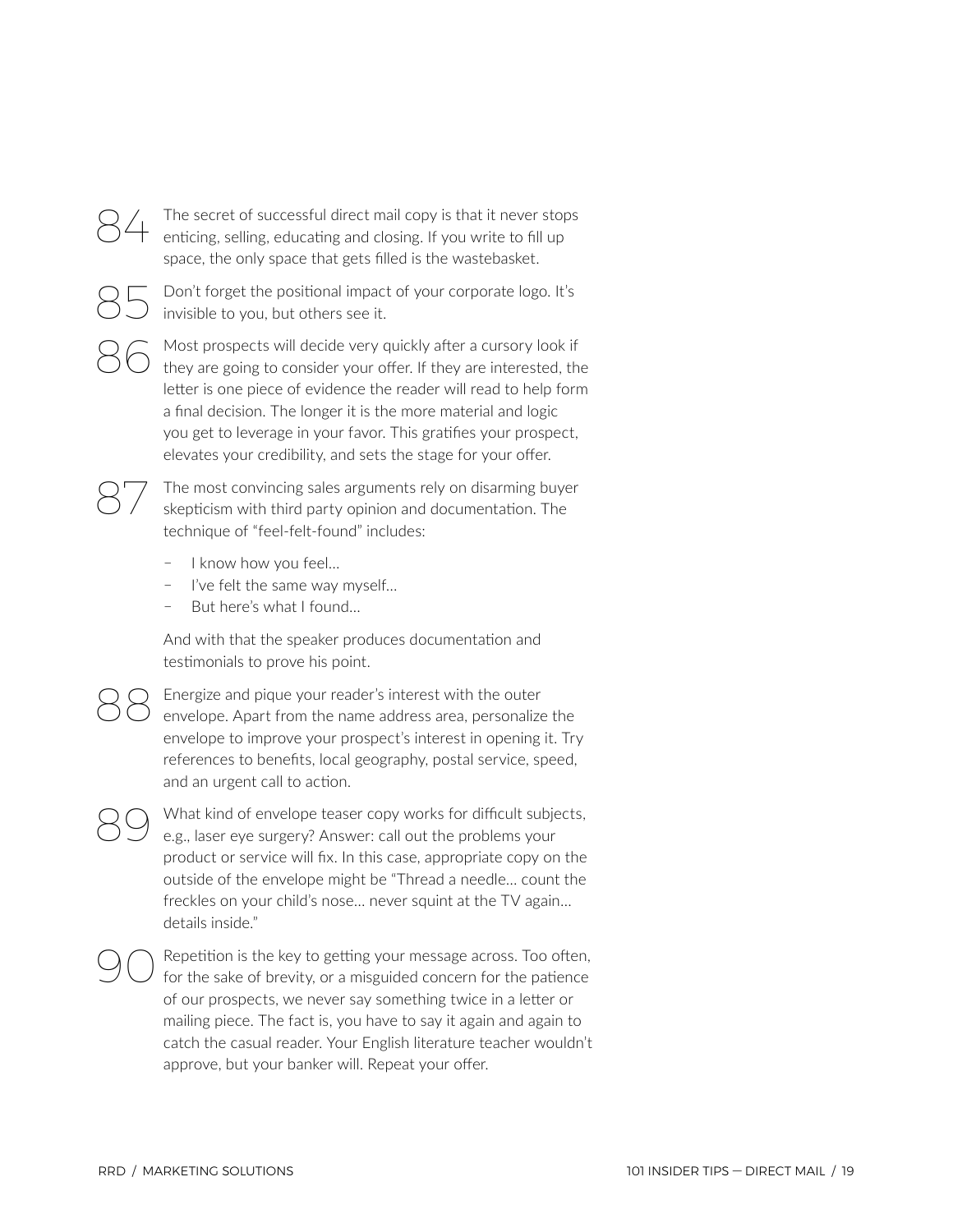

Don't forget the positional impact of your corporate logo. It's invisible to you, but others see it.

86 Most prospects will decide very quickly after a cursory look if<br>they are going to consider your offer. If they are interested, the letter is one piece of evidence the reader will read to help form a final decision. The longer it is the more material and logic you get to leverage in your favor. This gratifies your prospect, elevates your credibility, and sets the stage for your offer.

The most convincing sales arguments rely on disarming buyer skepticism with third party opinion and documentation. The technique of "feel-felt-found" includes:

- I know how you feel...
- I've felt the same way myself...
- But here's what I found...

And with that the speaker produces documentation and testimonials to prove his point.

888 Energize and pique your reader's interest with the outer envelope. Apart from the name address area, personalize the envelope to improve your prospect's interest in opening it. Try references to benefits, local geography, postal service, speed, and an urgent call to action.

What kind of envelope teaser copy works for difficult subjects, e.g., laser eye surgery? Answer: call out the problems your product or service will fix. In this case, appropriate copy on the outside of the envelope might be "Thread a needle… count the freckles on your child's nose… never squint at the TV again… details inside."

90 Repetition is the key to getting your message across. Too often, for the sake of brevity, or a misguided concern for the patience of our prospects, we never say something twice in a letter or mailing piece. The fact is, you have to say it again and again to catch the casual reader. Your English literature teacher wouldn't approve, but your banker will. Repeat your offer.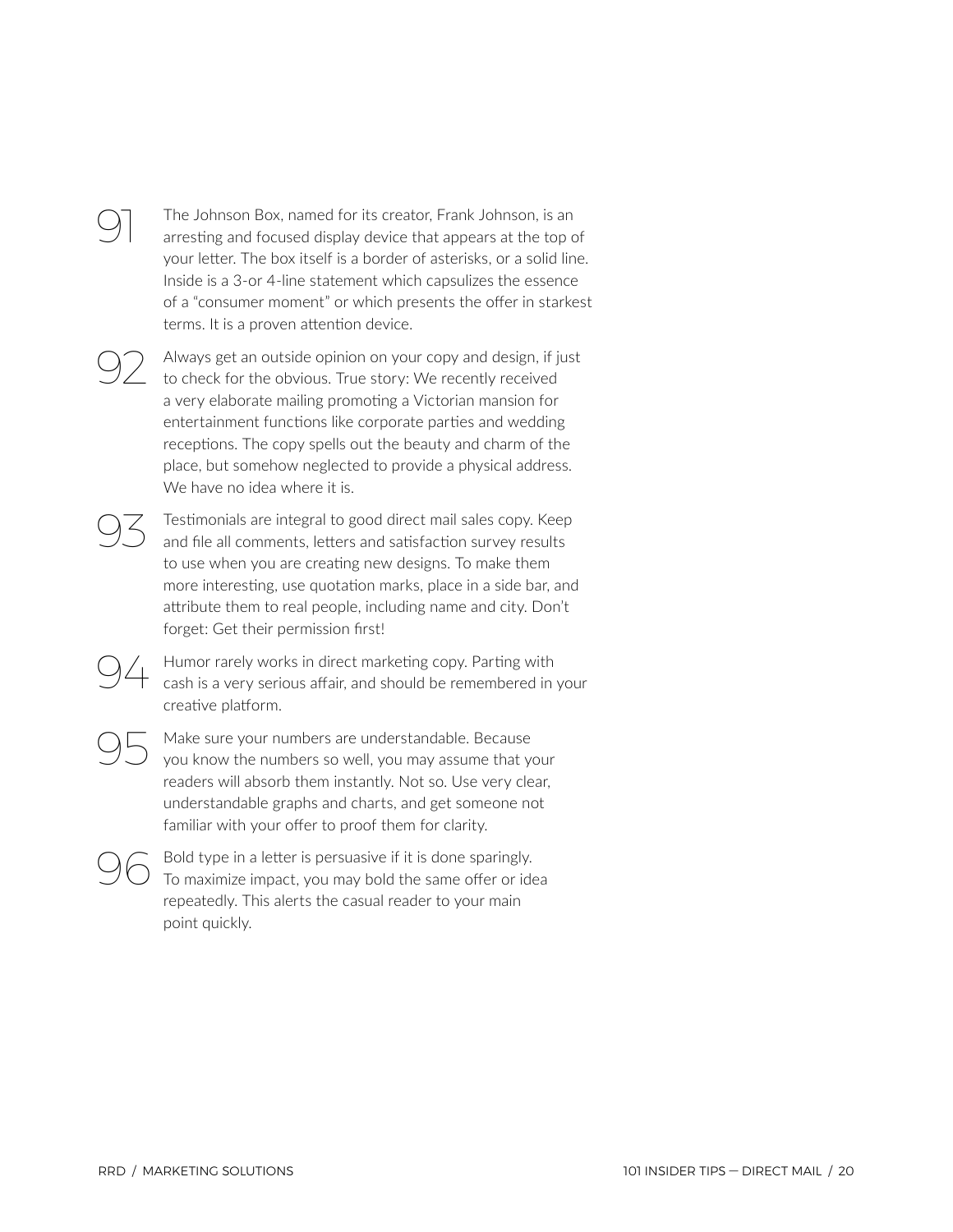### The Johnson Box, named for its creator, Frank Johnson, is an arresting and focused display device that appears at the top of your letter. The box itself is a border of asterisks, or a solid line. Inside is a 3-or 4-line statement which capsulizes the essence of a "consumer moment" or which presents the offer in starkest terms. It is a proven attention device.

92 Always get an outside opinion on your copy and design, if just to check for the obvious. True story: We recently received a very elaborate mailing promoting a Victorian mansion for entertainment functions like corporate parties and wedding receptions. The copy spells out the beauty and charm of the place, but somehow neglected to provide a physical address. We have no idea where it is.

Testimonials are integral to good direct mail sales copy. Keep and file all comments, letters and satisfaction survey results to use when you are creating new designs. To make them more interesting, use quotation marks, place in a side bar, and attribute them to real people, including name and city. Don't forget: Get their permission first!

94 Humor rarely works in direct marketing copy. Parting with cash is a very serious affair, and should be remembered in your creative platform.

95 Make sure your numbers are understandable. Because you know the numbers so well, you may assume that your readers will absorb them instantly. Not so. Use very clear, understandable graphs and charts, and get someone not familiar with your offer to proof them for clarity.

96 Bold type in a letter is persuasive if it is done sparingly.<br>To maximize impact, you may bold the same offer or idea repeatedly. This alerts the casual reader to your main point quickly.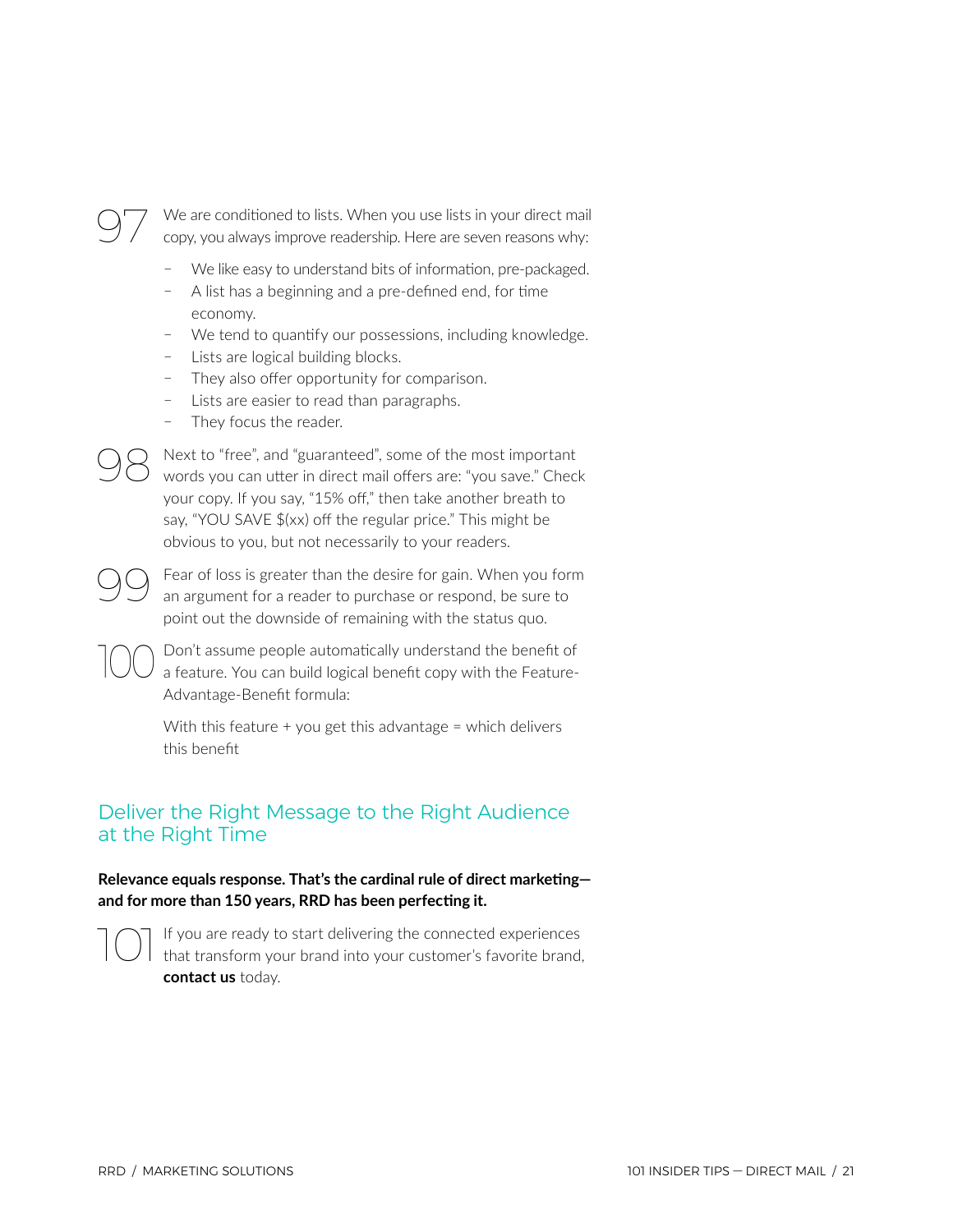We are conditioned to lists. When you use lists in your direct mail copy, you always improve readership. Here are seven reasons why:

- We like easy to understand bits of information, pre-packaged.
- ҄ A list has a beginning and a pre-defined end, for time economy.
- We tend to quantify our possessions, including knowledge.
- Lists are logical building blocks.
- They also offer opportunity for comparison.
- Lists are easier to read than paragraphs.
- They focus the reader.

98 Next to "free", and "guaranteed", some of the most important words you can utter in direct mail offers are: "you save." Check your copy. If you say, "15% off," then take another breath to say, "YOU SAVE \$(xx) off the regular price." This might be obvious to you, but not necessarily to your readers.

Fear of loss is greater than the desire for gain. When you form an argument for a reader to purchase or respond, be sure to point out the downside of remaining with the status quo.

100 Don't assume people automatically understand the benefit of a feature. You can build logical benefit copy with the Feature-Advantage-Benefit formula:

> With this feature  $+$  you get this advantage  $=$  which delivers this benefit

## Deliver the Right Message to the Right Audience at the Right Time

**Relevance equals response. That's the cardinal rule of direct marketing and for more than 150 years, RRD has been perfecting it.**



101If you are ready to start delivering the connected experiences that transform your brand into your customer's favorite brand, **contact us** today.